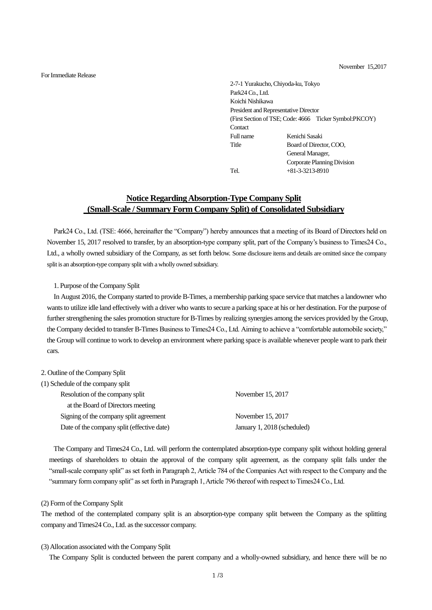November 15,2017

For Immediate Release

2-7-1 Yurakucho, Chiyoda-ku, Tokyo Park24 Co., Ltd. Koichi Nishikawa President and Representative Director (First Section of TSE; Code: 4666 Ticker Symbol:PKCOY) Contact Full name Kenichi Sasaki Title Board of Director, COO, General Manager, Corporate Planning Division Tel.  $+81-3-3213-8910$ 

# **Notice Regarding Absorption-Type Company Split (Small-Scale / Summary Form Company Split) of Consolidated Subsidiary**

Park24 Co., Ltd. (TSE: 4666, hereinafter the "Company") hereby announces that a meeting of its Board of Directors held on November 15, 2017 resolved to transfer, by an absorption-type company split, part of the Company's business to Times24 Co., Ltd., a wholly owned subsidiary of the Company, as set forth below. Some disclosure items and details are omitted since the company split is an absorption-type company split with a wholly owned subsidiary.

## 1. Purpose of the Company Split

In August 2016, the Company started to provide B-Times, a membership parking space service that matches a landowner who wants to utilize idle land effectively with a driver who wants to secure a parking space at his or her destination. For the purpose of further strengthening the sales promotion structure for B-Times by realizing synergies among the services provided by the Group, the Company decided to transfer B-Times Business to Times24 Co., Ltd. Aiming to achieve a "comfortable automobile society," the Group will continue to work to develop an environment where parking space is available whenever people want to park their cars.

### 2. Outline of the Company Split

| (1) Schedule of the company split          |                             |
|--------------------------------------------|-----------------------------|
| Resolution of the company split            | November 15, 2017           |
| at the Board of Directors meeting          |                             |
| Signing of the company split agreement     | November 15, 2017           |
| Date of the company split (effective date) | January 1, 2018 (scheduled) |

The Company and Times24 Co., Ltd. will perform the contemplated absorption-type company split without holding general meetings of shareholders to obtain the approval of the company split agreement, as the company split falls under the "small-scale company split" as set forth in Paragraph 2, Article 784 of the Companies Act with respect to the Company and the "summary form company split" as set forth in Paragraph 1, Article 796 thereof with respect to Times24 Co., Ltd.

#### (2) Form of the Company Split

The method of the contemplated company split is an absorption-type company split between the Company as the splitting company and Times24 Co., Ltd. as the successor company.

#### (3) Allocation associated with the Company Split

The Company Split is conducted between the parent company and a wholly-owned subsidiary, and hence there will be no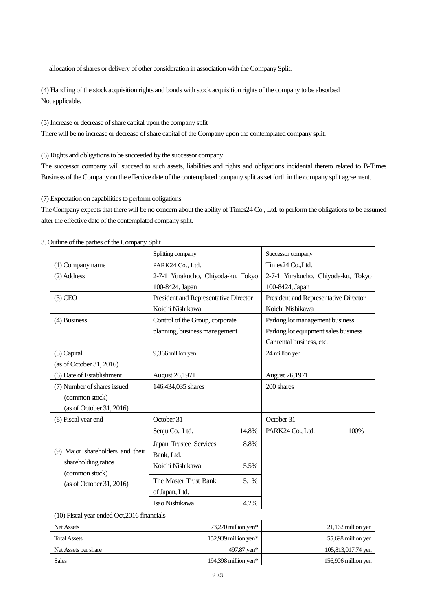allocation of shares or delivery of other consideration in association with the Company Split.

(4) Handling of the stock acquisition rights and bonds with stock acquisition rights of the company to be absorbed Not applicable.

(5) Increase or decrease of share capital upon the company split

There will be no increase or decrease of share capital of the Company upon the contemplated company split.

(6) Rights and obligations to be succeeded by the successor company

The successor company will succeed to such assets, liabilities and rights and obligations incidental thereto related to B-Times Business of the Company on the effective date of the contemplated company split as set forth in the company split agreement.

(7) Expectation on capabilities to perform obligations

The Company expects that there will be no concern about the ability of Times24 Co., Ltd. to perform the obligations to be assumed after the effective date of the contemplated company split.

|                                                                                                       | Splitting company                     | Successor company                     |  |  |  |  |
|-------------------------------------------------------------------------------------------------------|---------------------------------------|---------------------------------------|--|--|--|--|
| (1) Company name                                                                                      | PARK24 Co., Ltd.                      | Times24 Co., Ltd.                     |  |  |  |  |
| (2) Address                                                                                           | 2-7-1 Yurakucho, Chiyoda-ku, Tokyo    | 2-7-1 Yurakucho, Chiyoda-ku, Tokyo    |  |  |  |  |
|                                                                                                       | 100-8424, Japan                       | 100-8424, Japan                       |  |  |  |  |
| $(3)$ CEO                                                                                             | President and Representative Director | President and Representative Director |  |  |  |  |
|                                                                                                       | Koichi Nishikawa                      | Koichi Nishikawa                      |  |  |  |  |
| (4) Business                                                                                          | Control of the Group, corporate       | Parking lot management business       |  |  |  |  |
|                                                                                                       | planning, business management         | Parking lot equipment sales business  |  |  |  |  |
|                                                                                                       |                                       | Car rental business, etc.             |  |  |  |  |
| (5) Capital                                                                                           | 9,366 million yen                     | 24 million yen                        |  |  |  |  |
| (as of October 31, 2016)                                                                              |                                       |                                       |  |  |  |  |
| (6) Date of Establishment                                                                             | August 26,1971                        | August 26,1971                        |  |  |  |  |
| (7) Number of shares issued                                                                           | 146,434,035 shares                    | 200 shares                            |  |  |  |  |
| (common stock)                                                                                        |                                       |                                       |  |  |  |  |
| (as of October 31, 2016)                                                                              |                                       |                                       |  |  |  |  |
| (8) Fiscal year end                                                                                   | October 31                            | October 31                            |  |  |  |  |
|                                                                                                       | Senju Co., Ltd.<br>14.8%              | 100%<br>PARK24 Co., Ltd.              |  |  |  |  |
| (9) Major shareholders and their<br>shareholding ratios<br>(common stock)<br>(as of October 31, 2016) | Japan Trustee Services<br>8.8%        |                                       |  |  |  |  |
|                                                                                                       | Bank, Ltd.                            |                                       |  |  |  |  |
|                                                                                                       | Koichi Nishikawa<br>5.5%              |                                       |  |  |  |  |
|                                                                                                       | The Master Trust Bank<br>5.1%         |                                       |  |  |  |  |
|                                                                                                       | of Japan, Ltd.                        |                                       |  |  |  |  |
|                                                                                                       | Isao Nishikawa<br>4.2%                |                                       |  |  |  |  |
| (10) Fiscal year ended Oct, 2016 financials                                                           |                                       |                                       |  |  |  |  |
| Net Assets                                                                                            | 73,270 million yen*                   | 21,162 million yen                    |  |  |  |  |
| <b>Total Assets</b>                                                                                   | 152,939 million yen*                  | 55,698 million yen                    |  |  |  |  |
| Net Assets per share                                                                                  | 497.87 yen*                           | 105,813,017.74 yen                    |  |  |  |  |
| <b>Sales</b>                                                                                          | 194,398 million yen*                  | 156,906 million yen                   |  |  |  |  |

3. Outline of the parties of the Company Split